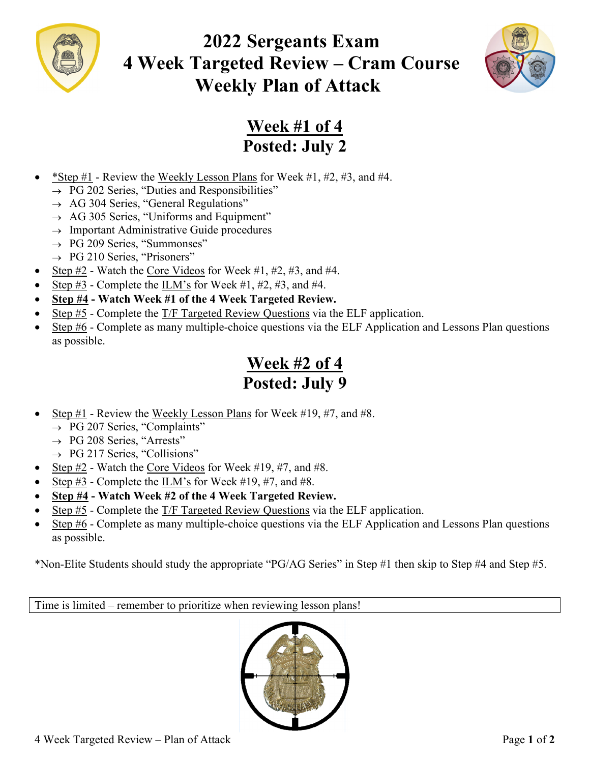

# **2022 Sergeants Exam 4 Week Targeted Review – Cram Course Weekly Plan of Attack**



### **Week #1 of 4 Posted: July 2**

- \*Step  $#1$  Review the Weekly Lesson Plans for Week  $#1, #2, #3,$  and  $#4$ .
	- $\rightarrow$  PG 202 Series, "Duties and Responsibilities"
	- $\rightarrow$  AG 304 Series, "General Regulations"
	- $\rightarrow$  AG 305 Series, "Uniforms and Equipment"
	- $\rightarrow$  Important Administrative Guide procedures
	- $\rightarrow$  PG 209 Series, "Summonses"
	- $\rightarrow$  PG 210 Series, "Prisoners"
- Step #2 Watch the Core Videos for Week #1, #2, #3, and #4.
- Step #3 Complete the ILM's for Week #1, #2, #3, and #4.
- **Step #4 Watch Week #1 of the 4 Week Targeted Review.**
- Step #5 Complete the T/F Targeted Review Questions via the ELF application.
- Step #6 Complete as many multiple-choice questions via the ELF Application and Lessons Plan questions as possible.

### **Week #2 of 4 Posted: July 9**

- Step #1 Review the Weekly Lesson Plans for Week #19, #7, and #8.
	- $\rightarrow$  PG 207 Series, "Complaints"
	- $\rightarrow$  PG 208 Series, "Arrests"
	- $\rightarrow$  PG 217 Series, "Collisions"
- Step #2 Watch the Core Videos for Week #19, #7, and #8.
- Step  $\sharp 3$  Complete the  $\text{ILM's}$  for Week  $\sharp 19, \sharp 7$ , and  $\sharp 8$ .
- **Step #4 Watch Week #2 of the 4 Week Targeted Review.**
- Step #5 Complete the T/F Targeted Review Questions via the ELF application.
- $\bullet$  Step #6 Complete as many multiple-choice questions via the ELF Application and Lessons Plan questions as possible.

\*Non-Elite Students should study the appropriate "PG/AG Series" in Step #1 then skip to Step #4 and Step #5.

Time is limited – remember to prioritize when reviewing lesson plans!